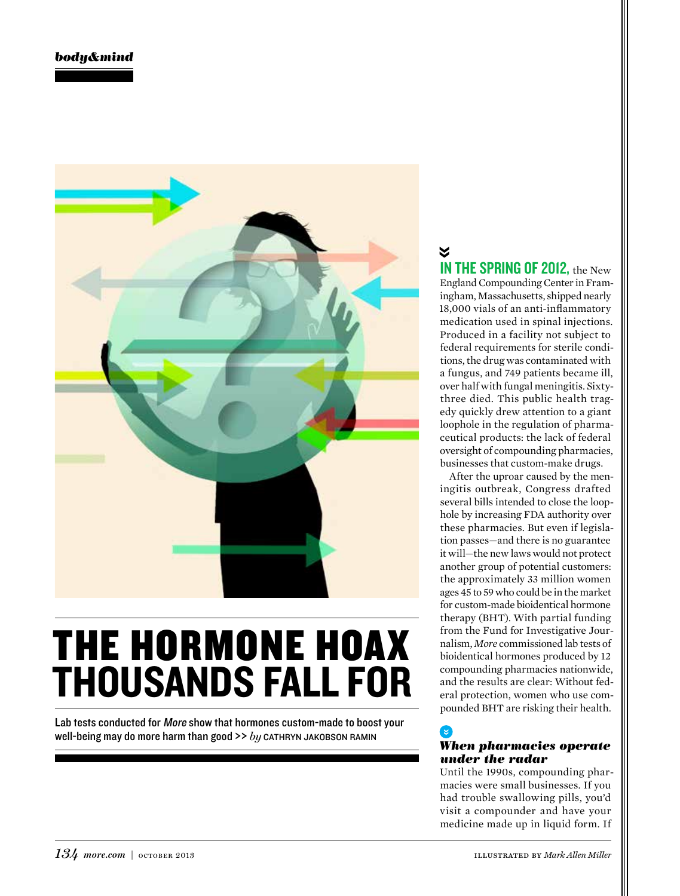

# THE HORMONE HOAX THOUSANDS FALL FOR

Lab tests conducted for More show that hormones custom-made to boost your well-being may do more harm than good >> *by* CATHRYN JAKOBSON RAMIN

## $\checkmark$ IN THE SPRING OF 2012, the New England Compounding Center in Framingham, Massachusetts, shipped nearly

18,000 vials of an anti-inflammatory medication used in spinal injections. Produced in a facility not subject to federal requirements for sterile conditions, the drug was contaminated with a fungus, and 749 patients became ill, over half with fungal meningitis. Sixtythree died. This public health tragedy quickly drew attention to a giant loophole in the regulation of pharmaceutical products: the lack of federal oversight of compounding pharmacies, businesses that custom-make drugs.

After the uproar caused by the meningitis outbreak, Congress drafted several bills intended to close the loophole by increasing FDA authority over these pharmacies. But even if legislation passes—and there is no guarantee it will—the new laws would not protect another group of potential customers: the approximately 33 million women ages 45 to 59 who could be in the market for custom-made bioidentical hormone therapy (BHT). With partial funding from the Fund for Investigative Journalism, *More* commissioned lab tests of bioidentical hormones produced by 12 compounding pharmacies nationwide, and the results are clear: Without federal protection, women who use compounded BHT are risking their health.

#### ′૪ *When pharmacies operate under the radar*

Until the 1990s, compounding pharmacies were small businesses. If you had trouble swallowing pills, you'd visit a compounder and have your medicine made up in liquid form. If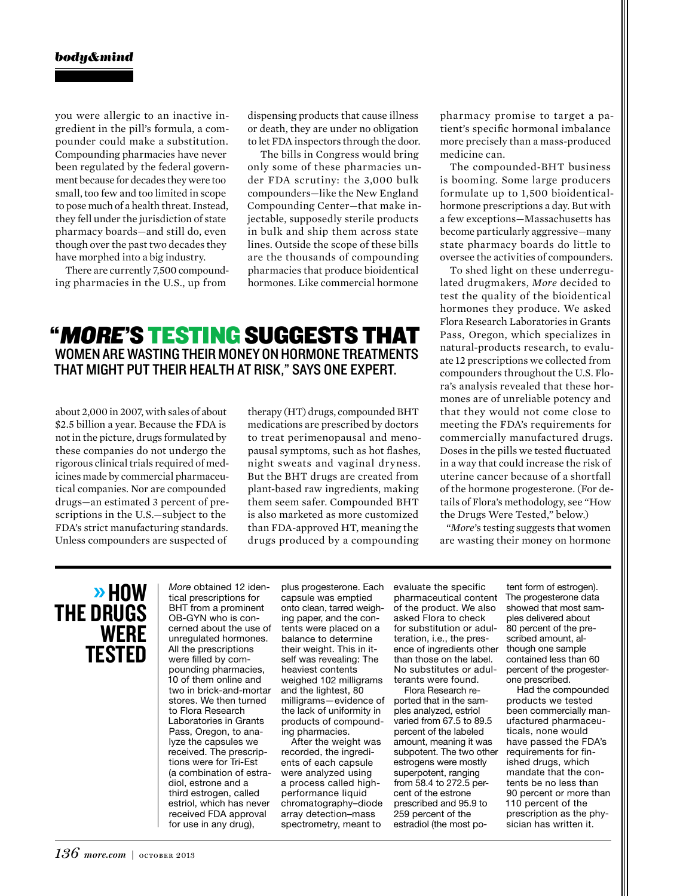you were allergic to an inactive ingredient in the pill's formula, a compounder could make a substitution. Compounding pharmacies have never been regulated by the federal government because for decades they were too small, too few and too limited in scope to pose much of a health threat. Instead, they fell under the jurisdiction of state pharmacy boards—and still do, even though over the past two decades they have morphed into a big industry.

There are currently 7,500 compounding pharmacies in the U.S., up from

dispensing products that cause illness or death, they are under no obligation to let FDA inspectors through the door.

 The bills in Congress would bring only some of these pharmacies under FDA scrutiny: the 3,000 bulk compounders—like the New England Compounding Center—that make injectable, supposedly sterile products in bulk and ship them across state lines. Outside the scope of these bills are the thousands of compounding pharmacies that produce bioidentical hormones. Like commercial hormone

## "MORE'S TESTING SUGGESTS THAT WOMEN ARE WASTING THEIR MONEY ON HORMONE TREATMENTS THAT MIGHT PUT THEIR HEALTH AT RISK," SAYS ONE EXPERT.

about 2,000 in 2007, with sales of about \$2.5 billion a year. Because the FDA is not in the picture, drugs formulated by these companies do not undergo the rigorous clinical trials required of medicines made by commercial pharmaceutical companies. Nor are compounded drugs—an estimated 3 percent of prescriptions in the U.S.—subject to the FDA's strict manufacturing standards. Unless compounders are suspected of

therapy (HT) drugs, compounded BHT medications are prescribed by doctors to treat perimenopausal and menopausal symptoms, such as hot flashes, night sweats and vaginal dryness. But the BHT drugs are created from plant-based raw ingredients, making them seem safer. Compounded BHT is also marketed as more customized than FDA-approved HT, meaning the drugs produced by a compounding

pharmacy promise to target a patient's specific hormonal imbalance more precisely than a mass-produced medicine can.

The compounded-BHT business is booming. Some large producers formulate up to 1,500 bioidenticalhormone prescriptions a day. But with a few exceptions—Massachusetts has become particularly aggressive—many state pharmacy boards do little to oversee the activities of compounders.

To shed light on these underregulated drugmakers, *More* decided to test the quality of the bioidentical hormones they produce. We asked Flora Research Laboratories in Grants Pass, Oregon, which specializes in natural-products research, to evaluate 12 prescriptions we collected from compounders throughout the U.S. Flora's analysis revealed that these hormones are of unreliable potency and that they would not come close to meeting the FDA's requirements for commercially manufactured drugs. Doses in the pills we tested fluctuated in a way that could increase the risk of uterine cancer because of a shortfall of the hormone progesterone. (For details of Flora's methodology, see "How the Drugs Were Tested," below.)

"*More*'s testing suggests that women are wasting their money on hormone

## » HOW THE DRUGS WERE TESTED

More obtained 12 identical prescriptions for BHT from a prominent OB-GYN who is concerned about the use of unregulated hormones. All the prescriptions were filled by compounding pharmacies, 10 of them online and two in brick-and-mortar stores. We then turned to Flora Research Laboratories in Grants Pass, Oregon, to analyze the capsules we received. The prescriptions were for Tri-Est (a combination of estradiol, estrone and a third estrogen, called estriol, which has never received FDA approval for use in any drug),

plus progesterone. Each capsule was emptied onto clean, tarred weighing paper, and the contents were placed on a balance to determine their weight. This in itself was revealing: The heaviest contents weighed 102 milligrams and the lightest, 80 milligrams—evidence of the lack of uniformity in products of compounding pharmacies.

After the weight was recorded, the ingredients of each capsule were analyzed using a process called highperformance liquid chromatography–diode array detection–mass spectrometry, meant to evaluate the specific pharmaceutical content of the product. We also asked Flora to check for substitution or adulteration, i.e., the presence of ingredients other than those on the label. No substitutes or adulterants were found.

Flora Research reported that in the samples analyzed, estriol varied from 67.5 to 89.5 percent of the labeled amount, meaning it was subpotent. The two other estrogens were mostly superpotent, ranging from 58.4 to 272.5 percent of the estrone prescribed and 95.9 to 259 percent of the estradiol (the most potent form of estrogen). The progesterone data showed that most samples delivered about 80 percent of the prescribed amount, although one sample contained less than 60 percent of the progesterone prescribed.

Had the compounded products we tested been commercially manufactured pharmaceuticals, none would have passed the FDA's requirements for finished drugs, which mandate that the contents be no less than 90 percent or more than 110 percent of the prescription as the physician has written it.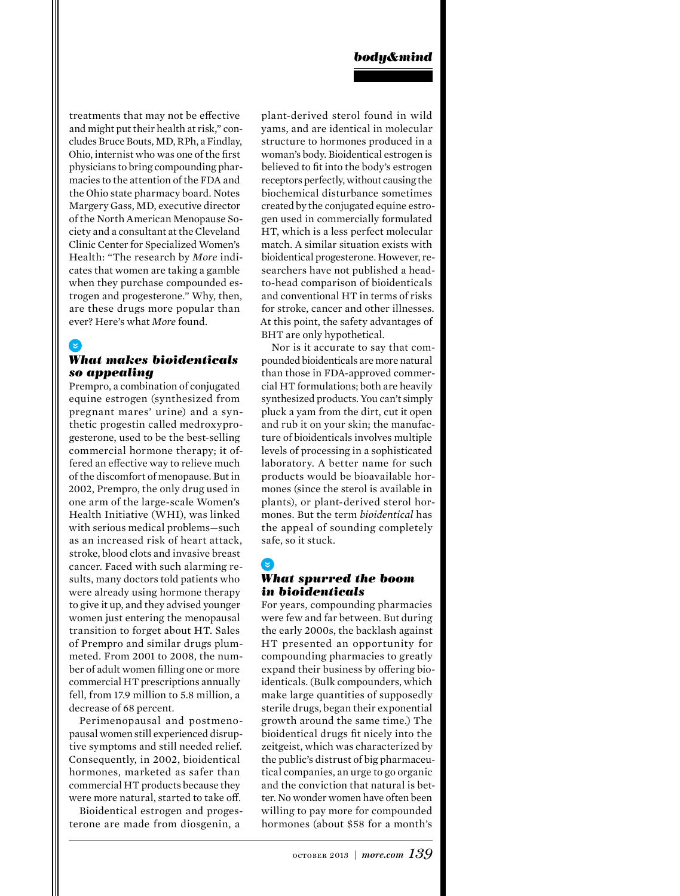treatments that may not be effective and might put their health at risk," concludes Bruce Bouts, MD, RPh, a Findlay, Ohio, internist who was one of the first physicians to bring compounding pharmacies to the attention of the FDA and the Ohio state pharmacy board. Notes Margery Gass, MD, executive director of the North American Menopause Society and a consultant at the Cleveland Clinic Center for Specialized Women's Health: "The research by *More* indicates that women are taking a gamble when they purchase compounded estrogen and progesterone." Why, then, are these drugs more popular than ever? Here's what *More* found.

## *What makes bioidenticals so appealing*

Prempro, a combination of conjugated equine estrogen (synthesized from pregnant mares' urine) and a synthetic progestin called medroxyprogesterone, used to be the best-selling commercial hormone therapy; it offered an effective way to relieve much of the discomfort of menopause. But in 2002, Prempro, the only drug used in one arm of the large-scale Women's Health Initiative (WHI), was linked with serious medical problems—such as an increased risk of heart attack, stroke, blood clots and invasive breast cancer. Faced with such alarming results, many doctors told patients who were already using hormone therapy to give it up, and they advised younger women just entering the menopausal transition to forget about HT. Sales of Prempro and similar drugs plummeted. From 2001 to 2008, the number of adult women filling one or more commercial HT prescriptions annually fell, from 17.9 million to 5.8 million, a decrease of 68 percent.

Perimenopausal and postmenopausal women still experienced disruptive symptoms and still needed relief. Consequently, in 2002, bioidentical hormones, marketed as safer than commercial HT products because they were more natural, started to take off.

Bioidentical estrogen and progesterone are made from diosgenin, a

plant-derived sterol found in wild yams, and are identical in molecular structure to hormones produced in a woman's body. Bioidentical estrogen is believed to fit into the body's estrogen receptors perfectly, without causing the biochemical disturbance sometimes created by the conjugated equine estrogen used in commercially formulated HT, which is a less perfect molecular match. A similar situation exists with bioidentical progesterone. However, researchers have not published a headto-head comparison of bioidenticals and conventional HT in terms of risks for stroke, cancer and other illnesses. At this point, the safety advantages of BHT are only hypothetical.

Nor is it accurate to say that compounded bioidenticals are more natural than those in FDA-approved commercial HT formulations; both are heavily synthesized products. You can't simply pluck a yam from the dirt, cut it open and rub it on your skin; the manufacture of bioidenticals involves multiple levels of processing in a sophisticated laboratory. A better name for such products would be bioavailable hormones (since the sterol is available in plants), or plant-derived sterol hormones. But the term *bioidentical* has the appeal of sounding completely safe, so it stuck.

### <u>। स</u>

#### *What spurred the boom in bioidenticals*

For years, compounding pharmacies were few and far between. But during the early 2000s, the backlash against HT presented an opportunity for compounding pharmacies to greatly expand their business by offering bioidenticals. (Bulk compounders, which make large quantities of supposedly sterile drugs, began their exponential growth around the same time.) The bioidentical drugs fit nicely into the zeitgeist, which was characterized by the public's distrust of big pharmaceutical companies, an urge to go organic and the conviction that natural is better. No wonder women have often been willing to pay more for compounded hormones (about \$58 for a month's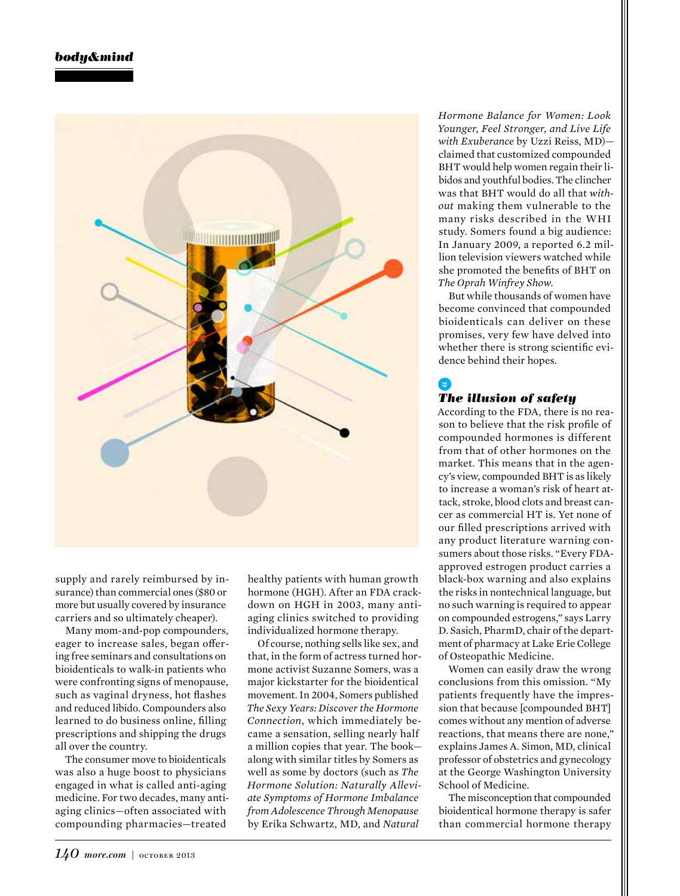

supply and rarely reimbursed by insurance) than commercial ones (\$80 or more but usually covered by insurance carriers and so ultimately cheaper).

Many mom-and-pop compounders, eager to increase sales, began offering free seminars and consultations on bioidenticals to walk-in patients who were confronting signs of menopause, such as vaginal dryness, hot flashes and reduced libido. Compounders also learned to do business online, filling prescriptions and shipping the drugs all over the country.

The consumer move to bioidenticals was also a huge boost to physicians engaged in what is called anti-aging medicine. For two decades, many antiaging clinics—often associated with compounding pharmacies—treated

healthy patients with human growth hormone (HGH). After an FDA crackdown on HGH in 2003, many antiaging clinics switched to providing individualized hormone therapy.

Of course, nothing sells like sex, and that, in the form of actress turned hormone activist Suzanne Somers, was a major kickstarter for the bioidentical movement. In 2004, Somers published *The Sexy Years: Discover the Hormone Connection*, which immediately became a sensation, selling nearly half a million copies that year. The book along with similar titles by Somers as well as some by doctors (such as *The Hormone Solution: Naturally Alleviate Symptoms of Hormone Imbalance from Adolescence Through Menopause* by Erika Schwartz, MD, and *Natural* 

*Hormone Balance for Women: Look Younger, Feel Stronger, and Live Life with Exuberance* by Uzzi Reiss, MD) claimed that customized compounded BHT would help women regain their libidos and youthful bodies. The clincher was that BHT would do all that *without* making them vulnerable to the many risks described in the WHI study. Somers found a big audience: In January 2009, a reported 6.2 million television viewers watched while she promoted the benefits of BHT on *The Oprah Winfrey Show*.

But while thousands of women have become convinced that compounded bioidenticals can deliver on these promises, very few have delved into whether there is strong scientific evidence behind their hopes.

## *The illusion of safety*

According to the FDA, there is no reason to believe that the risk profile of compounded hormones is different from that of other hormones on the market. This means that in the agency's view, compounded BHT is as likely to increase a woman's risk of heart attack, stroke, blood clots and breast cancer as commercial HT is. Yet none of our filled prescriptions arrived with any product literature warning consumers about those risks. "Every FDAapproved estrogen product carries a black-box warning and also explains the risks in nontechnical language, but no such warning is required to appear on compounded estrogens," says Larry D. Sasich, PharmD, chair of the department of pharmacy at Lake Erie College of Osteopathic Medicine.

Women can easily draw the wrong conclusions from this omission. "My patients frequently have the impression that because [compounded BHT] comes without any mention of adverse reactions, that means there are none," explains James A. Simon, MD, clinical professor of obstetrics and gynecology at the George Washington University School of Medicine.

The misconception that compounded bioidentical hormone therapy is safer than commercial hormone therapy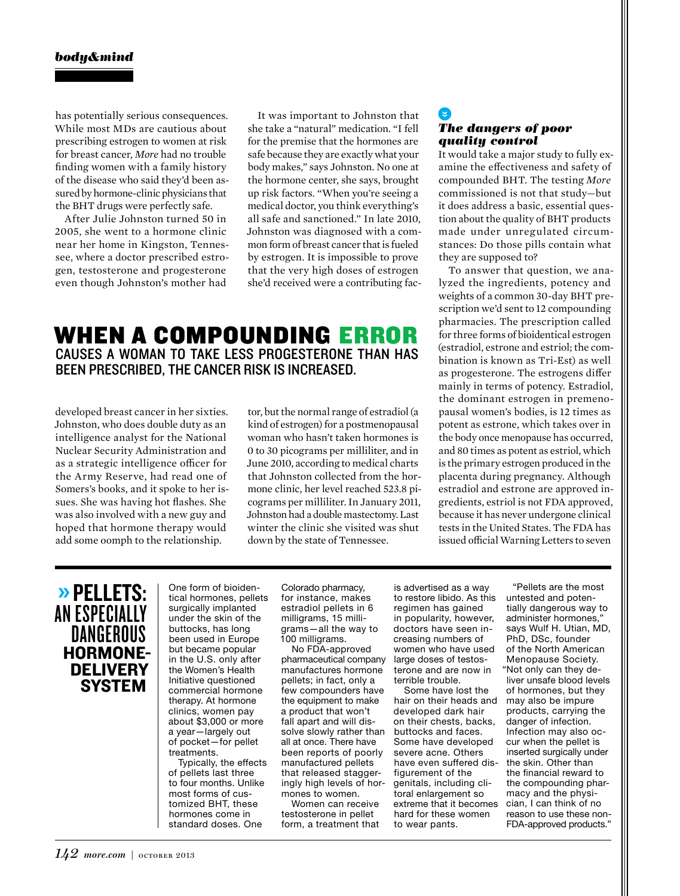has potentially serious consequences. While most MDs are cautious about prescribing estrogen to women at risk for breast cancer, *More* had no trouble finding women with a family history of the disease who said they'd been assured by hormone-clinic physicians that the BHT drugs were perfectly safe.

After Julie Johnston turned 50 in 2005, she went to a hormone clinic near her home in Kingston, Tennessee, where a doctor prescribed estrogen, testosterone and progesterone even though Johnston's mother had

It was important to Johnston that she take a "natural" medication. "I fell for the premise that the hormones are safe because they are exactly what your body makes," says Johnston. No one at the hormone center, she says, brought up risk factors. "When you're seeing a medical doctor, you think everything's all safe and sanctioned." In late 2010, Johnston was diagnosed with a common form of breast cancer that is fueled by estrogen. It is impossible to prove that the very high doses of estrogen she'd received were a contributing fac-

## WHEN A COMPOUNDING ERROR CAUSES A WOMAN TO TAKE LESS PROGESTERONE THAN HAS BEEN PRESCRIBED, THE CANCER RISK IS INCREASED.

developed breast cancer in her sixties. Johnston, who does double duty as an intelligence analyst for the National Nuclear Security Administration and as a strategic intelligence officer for the Army Reserve, had read one of Somers's books, and it spoke to her issues. She was having hot flashes. She was also involved with a new guy and hoped that hormone therapy would add some oomph to the relationship.

tor, but the normal range of estradiol (a kind of estrogen) for a postmenopausal woman who hasn't taken hormones is 0 to 30 picograms per milliliter, and in June 2010, according to medical charts that Johnston collected from the hormone clinic, her level reached 523.8 picograms per milliliter. In January 2011, Johnston had a double mastectomy. Last winter the clinic she visited was shut down by the state of Tennessee.

#### G *The dangers of poor quality control*

It would take a major study to fully examine the effectiveness and safety of compounded BHT. The testing *More* commissioned is not that study—but it does address a basic, essential question about the quality of BHT products made under unregulated circumstances: Do those pills contain what they are supposed to?

To answer that question, we analyzed the ingredients, potency and weights of a common 30-day BHT prescription we'd sent to 12 compounding pharmacies. The prescription called for three forms of bioidentical estrogen (estradiol, estrone and estriol; the combination is known as Tri-Est) as well as progesterone. The estrogens differ mainly in terms of potency. Estradiol, the dominant estrogen in premenopausal women's bodies, is 12 times as potent as estrone, which takes over in the body once menopause has occurred, and 80 times as potent as estriol, which is the primary estrogen produced in the placenta during pregnancy. Although estradiol and estrone are approved ingredients, estriol is not FDA approved, because it has never undergone clinical tests in the United States. The FDA has issued official Warning Letters to seven

## » PELLETS: AN ESPECIALLY DANGEROUS HORMONE-**DELIVERY SYSTEM**

One form of bioidentical hormones, pellets surgically implanted under the skin of the buttocks, has long been used in Europe but became popular in the U.S. only after the Women's Health Initiative questioned commercial hormone therapy. At hormone clinics, women pay about \$3,000 or more a year—largely out of pocket—for pellet treatments.

Typically, the effects of pellets last three to four months. Unlike most forms of customized BHT, these hormones come in standard doses. One

Colorado pharmacy, for instance, makes estradiol pellets in 6 milligrams, 15 milligrams—all the way to 100 milligrams.

No FDA-approved pharmaceutical company manufactures hormone pellets; in fact, only a few compounders have the equipment to make a product that won't fall apart and will dissolve slowly rather than all at once. There have been reports of poorly manufactured pellets that released staggeringly high levels of hormones to women.

Women can receive testosterone in pellet form, a treatment that

is advertised as a way to restore libido. As this regimen has gained in popularity, however, doctors have seen increasing numbers of women who have used large doses of testosterone and are now in terrible trouble.

Some have lost the hair on their heads and developed dark hair on their chests, backs, buttocks and faces. Some have developed severe acne. Others have even suffered disfigurement of the genitals, including clitoral enlargement so extreme that it becomes hard for these women to wear pants.

"Pellets are the most untested and potentially dangerous way to administer hormones," says Wulf H. Utian, MD, PhD, DSc, founder of the North American Menopause Society. "Not only can they deliver unsafe blood levels of hormones, but they may also be impure products, carrying the danger of infection. Infection may also occur when the pellet is inserted surgically under the skin. Other than the financial reward to the compounding pharmacy and the physician, I can think of no reason to use these non-FDA-approved products."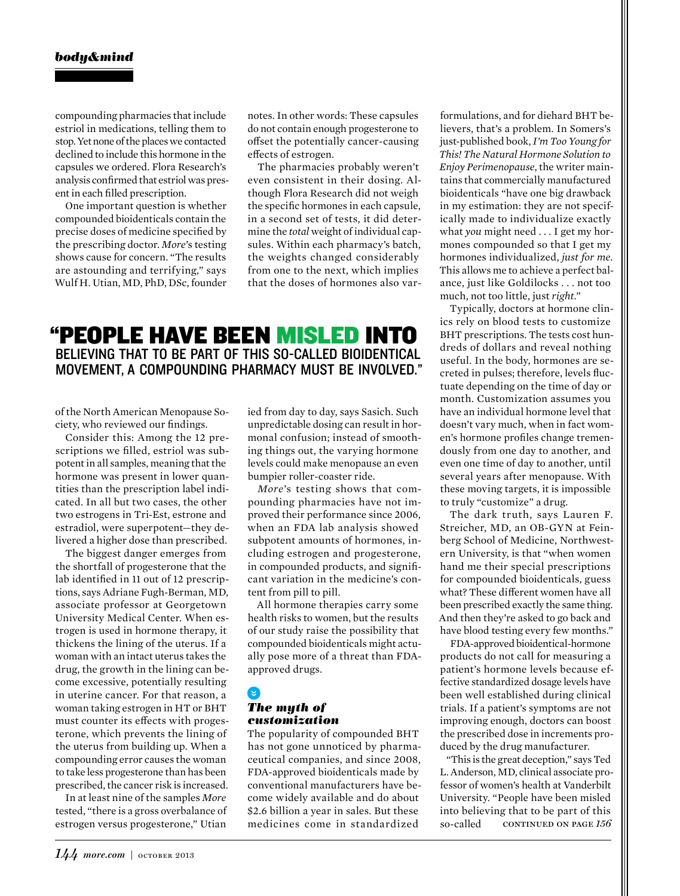compounding pharmacies that include estriol in medications, telling them to stop. Yet none of the places we contacted declined to include this hormone in the capsules we ordered. Flora Research's analysis confirmed that estriol was present in each filled prescription.

One important question is whether compounded bioidenticals contain the precise doses of medicine specified by the prescribing doctor. *More*'s testing shows cause for concern. "The results are astounding and terrifying," says Wulf H. Utian, MD, PhD, DSc, founder notes. In other words: These capsules do not contain enough progesterone to offset the potentially cancer-causing effects of estrogen.

The pharmacies probably weren't even consistent in their dosing. Although Flora Research did not weigh the specific hormones in each capsule, in a second set of tests, it did determine the *total* weight of individual capsules. Within each pharmacy's batch, the weights changed considerably from one to the next, which implies that the doses of hormones also var-

## "PEOPLE HAVE BEEN MISLED INTO BELIEVING THAT TO BE PART OF THIS SO-CALLED BIOIDENTICAL MOVEMENT, A COMPOUNDING PHARMACY MUST BE INVOLVED."

of the North American Menopause Society, who reviewed our findings.

Consider this: Among the 12 prescriptions we filled, estriol was subpotent in all samples, meaning that the hormone was present in lower quantities than the prescription label indicated. In all but two cases, the other two estrogens in Tri-Est, estrone and estradiol, were superpotent—they delivered a higher dose than prescribed.

The biggest danger emerges from the shortfall of progesterone that the lab identified in 11 out of 12 prescriptions, says Adriane Fugh-Berman, MD, associate professor at Georgetown University Medical Center. When estrogen is used in hormone therapy, it thickens the lining of the uterus. If a woman with an intact uterus takes the drug, the growth in the lining can become excessive, potentially resulting in uterine cancer. For that reason, a woman taking estrogen in HT or BHT must counter its effects with progesterone, which prevents the lining of the uterus from building up. When a compounding error causes the woman to take less progesterone than has been prescribed, the cancer risk is increased.

In at least nine of the samples *More*  tested, "there is a gross overbalance of estrogen versus progesterone," Utian ied from day to day, says Sasich. Such unpredictable dosing can result in hormonal confusion; instead of smoothing things out, the varying hormone levels could make menopause an even bumpier roller-coaster ride.

*More*'s testing shows that compounding pharmacies have not improved their performance since 2006, when an FDA lab analysis showed subpotent amounts of hormones, including estrogen and progesterone, in compounded products, and significant variation in the medicine's content from pill to pill.

All hormone therapies carry some health risks to women, but the results of our study raise the possibility that compounded bioidenticals might actually pose more of a threat than FDAapproved drugs.

## *The myth of customization*

The popularity of compounded BHT has not gone unnoticed by pharmaceutical companies, and since 2008, FDA-approved bioidenticals made by conventional manufacturers have become widely available and do about \$2.6 billion a year in sales. But these medicines come in standardized

formulations, and for diehard BHT believers, that's a problem. In Somers's just-published book, *I'm Too Young for This! The Natural Hormone Solution to Enjoy Perimenopause*, the writer maintains that commercially manufactured bioidenticals "have one big drawback in my estimation: they are not specifically made to individualize exactly what *you* might need . . . I get my hormones compounded so that I get my hormones individualized, *just for me*. This allows me to achieve a perfect balance, just like Goldilocks . . . not too much, not too little, just *right*."

Typically, doctors at hormone clinics rely on blood tests to customize BHT prescriptions. The tests cost hundreds of dollars and reveal nothing useful. In the body, hormones are secreted in pulses; therefore, levels fluctuate depending on the time of day or month. Customization assumes you have an individual hormone level that doesn't vary much, when in fact women's hormone profiles change tremendously from one day to another, and even one time of day to another, until several years after menopause. With these moving targets, it is impossible to truly "customize" a drug.

The dark truth, says Lauren F. Streicher, MD, an OB-GYN at Feinberg School of Medicine, Northwestern University, is that "when women hand me their special prescriptions for compounded bioidenticals, guess what? These different women have all been prescribed exactly the same thing. And then they're asked to go back and have blood testing every few months."

FDA-approved bioidentical-hormone products do not call for measuring a patient's hormone levels because effective standardized dosage levels have been well established during clinical trials. If a patient's symptoms are not improving enough, doctors can boost the prescribed dose in increments produced by the drug manufacturer.

"This is the great deception," says Ted L. Anderson, MD, clinical associate professor of women's health at Vanderbilt University. "People have been misled into believing that to be part of this so-called continued on page *156*